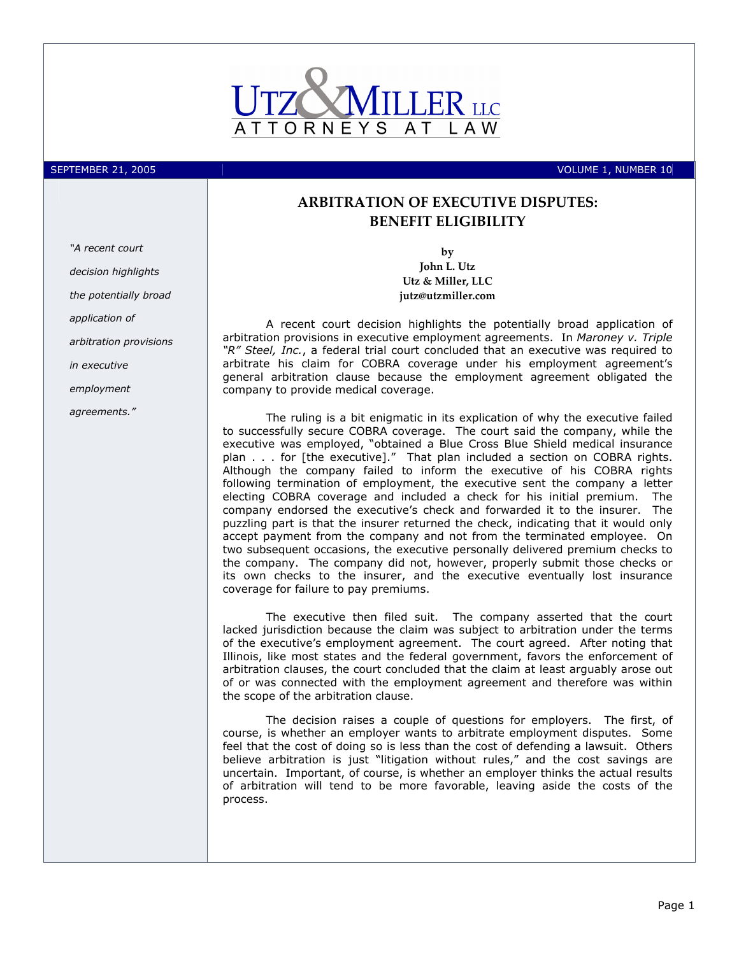

SEPTEMBER 21, 2005 **VOLUME 1, NUMBER 10** 

## ARBITRATION OF EXECUTIVE DISPUTES: BENEFIT ELIGIBILITY

by John L. Utz Utz & Miller, LLC jutz@utzmiller.com

A recent court decision highlights the potentially broad application of arbitration provisions in executive employment agreements. In Maroney v. Triple "R" Steel, Inc., a federal trial court concluded that an executive was required to arbitrate his claim for COBRA coverage under his employment agreement's general arbitration clause because the employment agreement obligated the company to provide medical coverage.

The ruling is a bit enigmatic in its explication of why the executive failed to successfully secure COBRA coverage. The court said the company, while the executive was employed, "obtained a Blue Cross Blue Shield medical insurance plan . . . for [the executive]." That plan included a section on COBRA rights. Although the company failed to inform the executive of his COBRA rights following termination of employment, the executive sent the company a letter electing COBRA coverage and included a check for his initial premium. The company endorsed the executive's check and forwarded it to the insurer. The puzzling part is that the insurer returned the check, indicating that it would only accept payment from the company and not from the terminated employee. On two subsequent occasions, the executive personally delivered premium checks to the company. The company did not, however, properly submit those checks or its own checks to the insurer, and the executive eventually lost insurance coverage for failure to pay premiums.

The executive then filed suit. The company asserted that the court lacked jurisdiction because the claim was subject to arbitration under the terms of the executive's employment agreement. The court agreed. After noting that Illinois, like most states and the federal government, favors the enforcement of arbitration clauses, the court concluded that the claim at least arguably arose out of or was connected with the employment agreement and therefore was within the scope of the arbitration clause.

The decision raises a couple of questions for employers. The first, of course, is whether an employer wants to arbitrate employment disputes. Some feel that the cost of doing so is less than the cost of defending a lawsuit. Others believe arbitration is just "litigation without rules," and the cost savings are uncertain. Important, of course, is whether an employer thinks the actual results of arbitration will tend to be more favorable, leaving aside the costs of the process.

"A recent court decision highlights the potentially broad application of arbitration provisions in executive employment agreements."